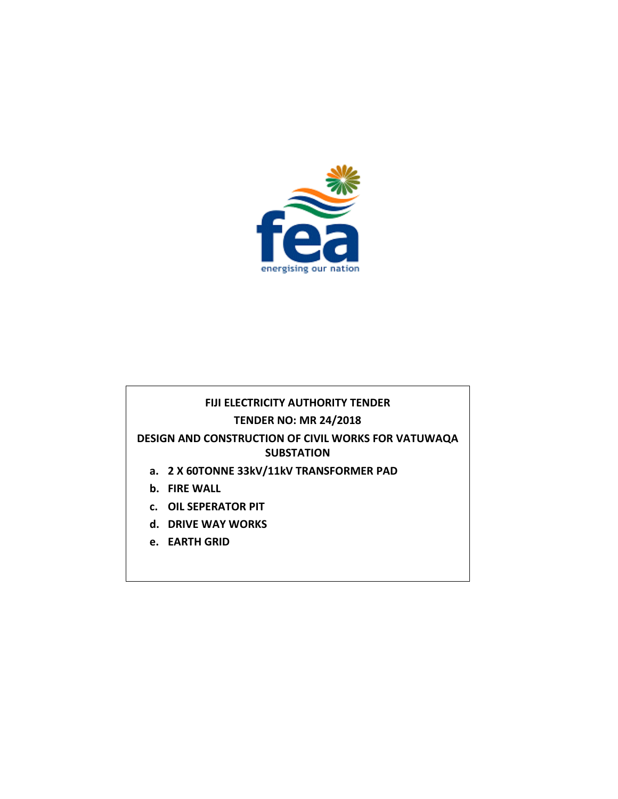

### **FIJI ELECTRICITY AUTHORITY TENDER TENDER NO: MR 24/2018**

# **DESIGN AND CONSTRUCTION OF CIVIL WORKS FOR VATUWAQA SUBSTATION**

- **a. 2 X 60TONNE 33kV/11kV TRANSFORMER PAD**
- **b. FIRE WALL**
- **c. OIL SEPERATOR PIT**
- **d. DRIVE WAY WORKS**
- **e. EARTH GRID**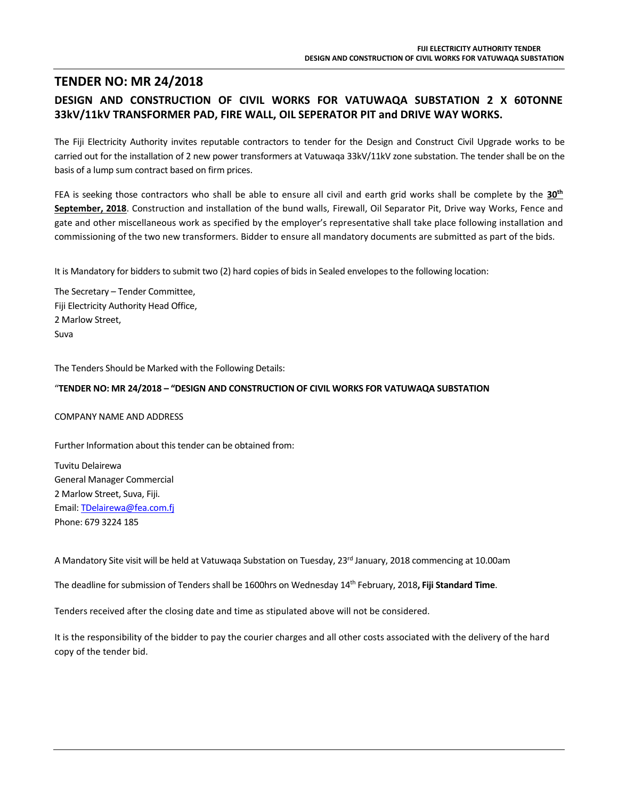### **TENDER NO: MR 24/2018 DESIGN AND CONSTRUCTION OF CIVIL WORKS FOR VATUWAQA SUBSTATION 2 X 60TONNE 33kV/11kV TRANSFORMER PAD, FIRE WALL, OIL SEPERATOR PIT and DRIVE WAY WORKS.**

The Fiji Electricity Authority invites reputable contractors to tender for the Design and Construct Civil Upgrade works to be carried out for the installation of 2 new power transformers at Vatuwaqa 33kV/11kV zone substation. The tender shall be on the basis of a lump sum contract based on firm prices.

FEA is seeking those contractors who shall be able to ensure all civil and earth grid works shall be complete by the **30th September, 2018**. Construction and installation of the bund walls, Firewall, Oil Separator Pit, Drive way Works, Fence and gate and other miscellaneous work as specified by the employer's representative shall take place following installation and commissioning of the two new transformers. Bidder to ensure all mandatory documents are submitted as part of the bids.

It is Mandatory for bidders to submit two (2) hard copies of bids in Sealed envelopes to the following location:

The Secretary – Tender Committee, Fiji Electricity Authority Head Office, 2 Marlow Street, Suva

The Tenders Should be Marked with the Following Details:

#### "**TENDER NO: MR 24/2018 – "DESIGN AND CONSTRUCTION OF CIVIL WORKS FOR VATUWAQA SUBSTATION**

COMPANY NAME AND ADDRESS

Further Information about this tender can be obtained from:

Tuvitu Delairewa General Manager Commercial 2 Marlow Street, Suva, Fiji. Email[: TDelairewa@fea.com.fj](mailto:TDelairewa@fea.com.fj) Phone: 679 3224 185

A Mandatory Site visit will be held at Vatuwaqa Substation on Tuesday, 23<sup>rd</sup> January, 2018 commencing at 10.00am

The deadline for submission of Tenders shall be 1600hrs on Wednesday 14th February, 2018**, Fiji Standard Time**.

Tenders received after the closing date and time as stipulated above will not be considered.

It is the responsibility of the bidder to pay the courier charges and all other costs associated with the delivery of the hard copy of the tender bid.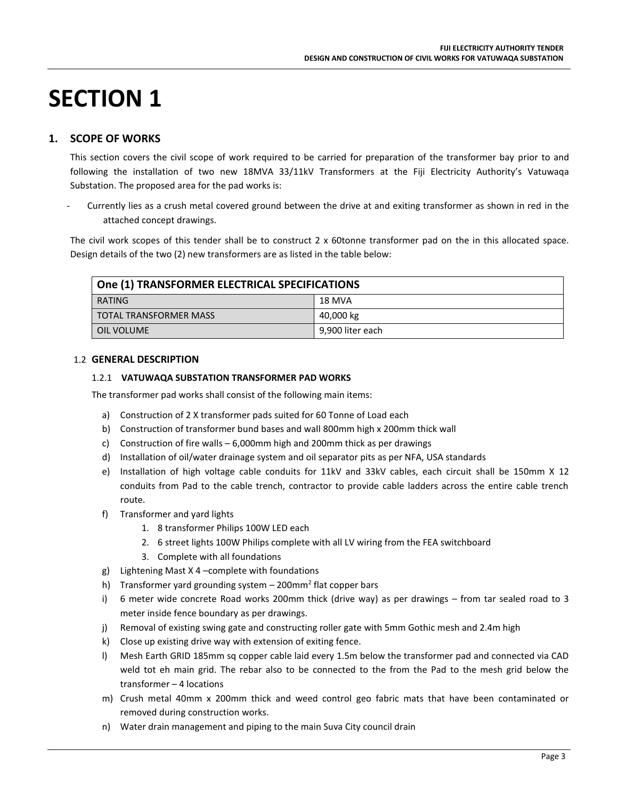# **SECTION 1**

#### **1. SCOPE OF WORKS**

This section covers the civil scope of work required to be carried for preparation of the transformer bay prior to and following the installation of two new 18MVA 33/11kV Transformers at the Fiji Electricity Authority's Vatuwaqa Substation. The proposed area for the pad works is:

Currently lies as a crush metal covered ground between the drive at and exiting transformer as shown in red in the attached concept drawings.

The civil work scopes of this tender shall be to construct 2 x 60tonne transformer pad on the in this allocated space. Design details of the two (2) new transformers are as listed in the table below:

| One (1) TRANSFORMER ELECTRICAL SPECIFICATIONS |  |  |  |
|-----------------------------------------------|--|--|--|
| RATING<br>18 MVA                              |  |  |  |
| <b>TOTAL TRANSFORMER MASS</b><br>40,000 kg    |  |  |  |
| 9,900 liter each<br>OIL VOLUME                |  |  |  |

#### 1.2 **GENERAL DESCRIPTION**

#### 1.2.1 **VATUWAQA SUBSTATION TRANSFORMER PAD WORKS**

The transformer pad works shall consist of the following main items:

- a) Construction of 2 X transformer pads suited for 60 Tonne of Load each
- b) Construction of transformer bund bases and wall 800mm high x 200mm thick wall
- c) Construction of fire walls 6,000mm high and 200mm thick as per drawings
- d) Installation of oil/water drainage system and oil separator pits as per NFA, USA standards
- e) Installation of high voltage cable conduits for 11kV and 33kV cables, each circuit shall be 150mm X 12 conduits from Pad to the cable trench, contractor to provide cable ladders across the entire cable trench route.
- f) Transformer and yard lights
	- 1. 8 transformer Philips 100W LED each
	- 2. 6 street lights 100W Philips complete with all LV wiring from the FEA switchboard
	- 3. Complete with all foundations
- g) Lightening Mast X 4 –complete with foundations
- h) Transformer yard grounding system 200mm<sup>2</sup> flat copper bars
- i) 6 meter wide concrete Road works 200mm thick (drive way) as per drawings from tar sealed road to 3 meter inside fence boundary as per drawings.
- j) Removal of existing swing gate and constructing roller gate with 5mm Gothic mesh and 2.4m high
- k) Close up existing drive way with extension of exiting fence.
- l) Mesh Earth GRID 185mm sq copper cable laid every 1.5m below the transformer pad and connected via CAD weld tot eh main grid. The rebar also to be connected to the from the Pad to the mesh grid below the transformer – 4 locations
- m) Crush metal 40mm x 200mm thick and weed control geo fabric mats that have been contaminated or removed during construction works.
- n) Water drain management and piping to the main Suva City council drain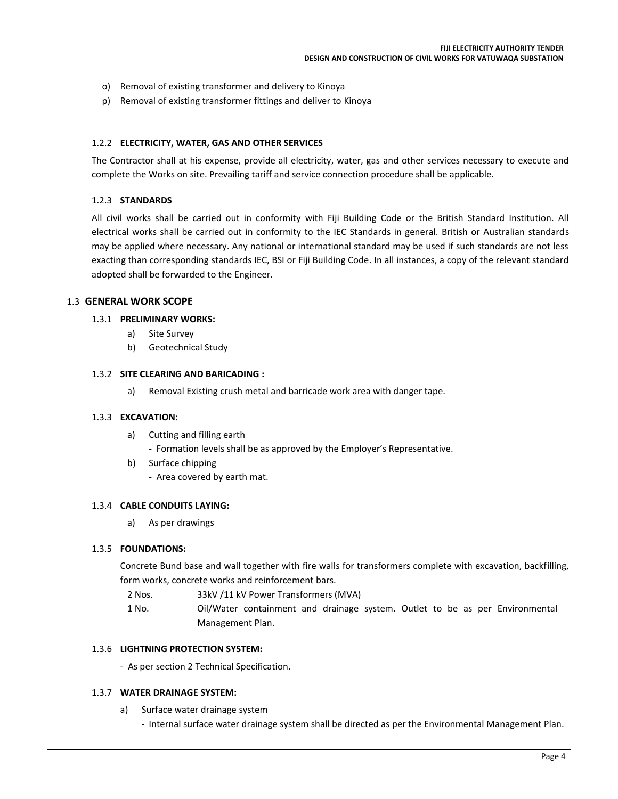- o) Removal of existing transformer and delivery to Kinoya
- p) Removal of existing transformer fittings and deliver to Kinoya

#### 1.2.2 **ELECTRICITY, WATER, GAS AND OTHER SERVICES**

The Contractor shall at his expense, provide all electricity, water, gas and other services necessary to execute and complete the Works on site. Prevailing tariff and service connection procedure shall be applicable.

#### 1.2.3 **STANDARDS**

All civil works shall be carried out in conformity with Fiji Building Code or the British Standard Institution. All electrical works shall be carried out in conformity to the IEC Standards in general. British or Australian standards may be applied where necessary. Any national or international standard may be used if such standards are not less exacting than corresponding standards IEC, BSI or Fiji Building Code. In all instances, a copy of the relevant standard adopted shall be forwarded to the Engineer.

#### 1.3 **GENERAL WORK SCOPE**

#### 1.3.1 **PRELIMINARY WORKS:**

- a) Site Survey
- b) Geotechnical Study

#### 1.3.2 **SITE CLEARING AND BARICADING :**

a) Removal Existing crush metal and barricade work area with danger tape.

#### 1.3.3 **EXCAVATION:**

a) Cutting and filling earth

- Formation levels shall be as approved by the Employer's Representative.

b) Surface chipping - Area covered by earth mat.

#### 1.3.4 **CABLE CONDUITS LAYING:**

a) As per drawings

#### 1.3.5 **FOUNDATIONS:**

Concrete Bund base and wall together with fire walls for transformers complete with excavation, backfilling, form works, concrete works and reinforcement bars.

- 2 Nos. 33kV /11 kV Power Transformers (MVA)
- 1 No. Oil/Water containment and drainage system. Outlet to be as per Environmental Management Plan.

#### 1.3.6 **LIGHTNING PROTECTION SYSTEM:**

- As per section 2 Technical Specification.

#### 1.3.7 **WATER DRAINAGE SYSTEM:**

a) Surface water drainage system

- Internal surface water drainage system shall be directed as per the Environmental Management Plan.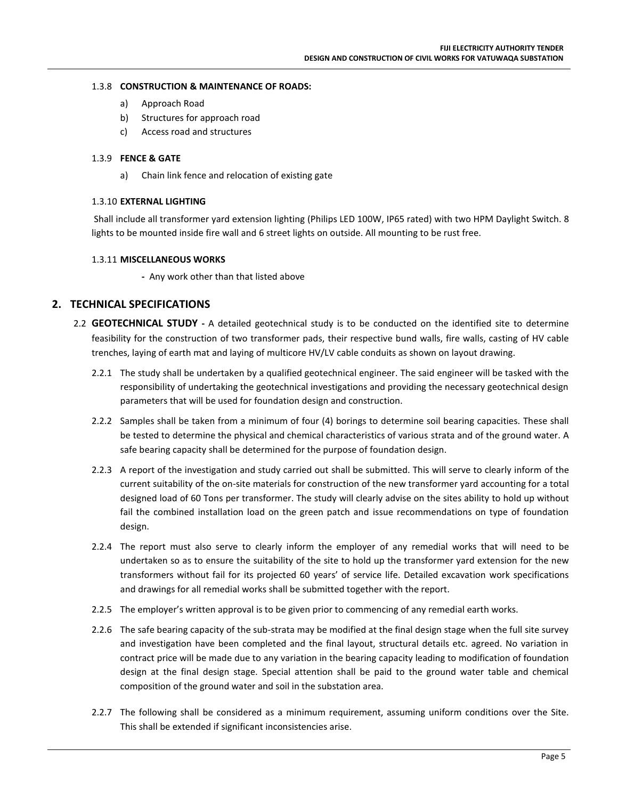#### 1.3.8 **CONSTRUCTION & MAINTENANCE OF ROADS:**

- a) Approach Road
- b) Structures for approach road
- c) Access road and structures

#### 1.3.9 **FENCE & GATE**

a) Chain link fence and relocation of existing gate

#### 1.3.10 **EXTERNAL LIGHTING**

Shall include all transformer yard extension lighting (Philips LED 100W, IP65 rated) with two HPM Daylight Switch. 8 lights to be mounted inside fire wall and 6 street lights on outside. All mounting to be rust free.

#### 1.3.11 **MISCELLANEOUS WORKS**

**-** Any work other than that listed above

#### **2. TECHNICAL SPECIFICATIONS**

- 2.2 **GEOTECHNICAL STUDY -** A detailed geotechnical study is to be conducted on the identified site to determine feasibility for the construction of two transformer pads, their respective bund walls, fire walls, casting of HV cable trenches, laying of earth mat and laying of multicore HV/LV cable conduits as shown on layout drawing.
	- 2.2.1 The study shall be undertaken by a qualified geotechnical engineer. The said engineer will be tasked with the responsibility of undertaking the geotechnical investigations and providing the necessary geotechnical design parameters that will be used for foundation design and construction.
	- 2.2.2 Samples shall be taken from a minimum of four (4) borings to determine soil bearing capacities. These shall be tested to determine the physical and chemical characteristics of various strata and of the ground water. A safe bearing capacity shall be determined for the purpose of foundation design.
	- 2.2.3 A report of the investigation and study carried out shall be submitted. This will serve to clearly inform of the current suitability of the on-site materials for construction of the new transformer yard accounting for a total designed load of 60 Tons per transformer. The study will clearly advise on the sites ability to hold up without fail the combined installation load on the green patch and issue recommendations on type of foundation design.
	- 2.2.4 The report must also serve to clearly inform the employer of any remedial works that will need to be undertaken so as to ensure the suitability of the site to hold up the transformer yard extension for the new transformers without fail for its projected 60 years' of service life. Detailed excavation work specifications and drawings for all remedial works shall be submitted together with the report.
	- 2.2.5 The employer's written approval is to be given prior to commencing of any remedial earth works.
	- 2.2.6 The safe bearing capacity of the sub-strata may be modified at the final design stage when the full site survey and investigation have been completed and the final layout, structural details etc. agreed. No variation in contract price will be made due to any variation in the bearing capacity leading to modification of foundation design at the final design stage. Special attention shall be paid to the ground water table and chemical composition of the ground water and soil in the substation area.
	- 2.2.7 The following shall be considered as a minimum requirement, assuming uniform conditions over the Site. This shall be extended if significant inconsistencies arise.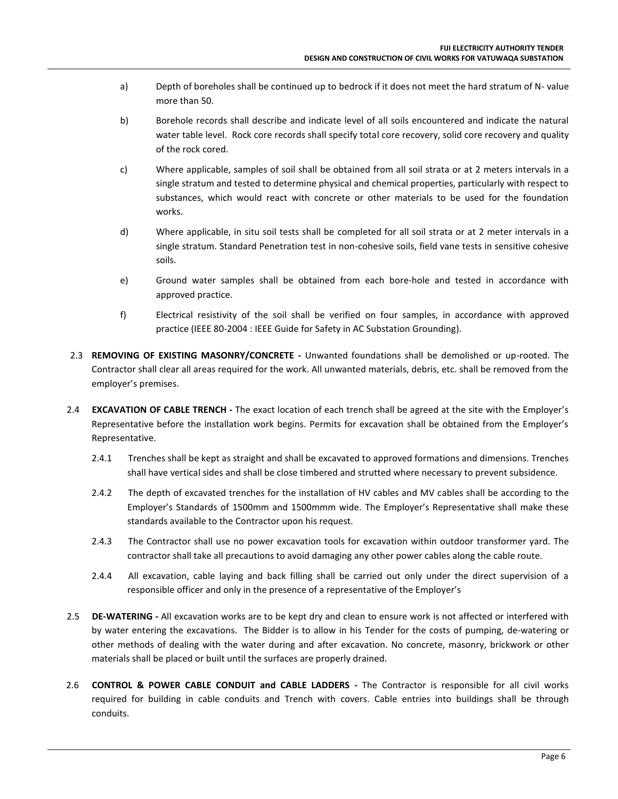- a) Depth of boreholes shall be continued up to bedrock if it does not meet the hard stratum of N- value more than 50.
- b) Borehole records shall describe and indicate level of all soils encountered and indicate the natural water table level. Rock core records shall specify total core recovery, solid core recovery and quality of the rock cored.
- c) Where applicable, samples of soil shall be obtained from all soil strata or at 2 meters intervals in a single stratum and tested to determine physical and chemical properties, particularly with respect to substances, which would react with concrete or other materials to be used for the foundation works.
- d) Where applicable, in situ soil tests shall be completed for all soil strata or at 2 meter intervals in a single stratum. Standard Penetration test in non-cohesive soils, field vane tests in sensitive cohesive soils.
- e) Ground water samples shall be obtained from each bore-hole and tested in accordance with approved practice.
- f) Electrical resistivity of the soil shall be verified on four samples, in accordance with approved practice (IEEE 80-2004 : IEEE Guide for Safety in AC Substation Grounding).
- 2.3 **REMOVING OF EXISTING MASONRY/CONCRETE -** Unwanted foundations shall be demolished or up-rooted. The Contractor shall clear all areas required for the work. All unwanted materials, debris, etc. shall be removed from the employer's premises.
- 2.4 **EXCAVATION OF CABLE TRENCH -** The exact location of each trench shall be agreed at the site with the Employer's Representative before the installation work begins. Permits for excavation shall be obtained from the Employer's Representative.
	- 2.4.1 Trenches shall be kept as straight and shall be excavated to approved formations and dimensions. Trenches shall have vertical sides and shall be close timbered and strutted where necessary to prevent subsidence.
	- 2.4.2 The depth of excavated trenches for the installation of HV cables and MV cables shall be according to the Employer's Standards of 1500mm and 1500mmm wide. The Employer's Representative shall make these standards available to the Contractor upon his request.
	- 2.4.3 The Contractor shall use no power excavation tools for excavation within outdoor transformer yard. The contractor shall take all precautions to avoid damaging any other power cables along the cable route.
	- 2.4.4 All excavation, cable laying and back filling shall be carried out only under the direct supervision of a responsible officer and only in the presence of a representative of the Employer's
- 2.5 **DE-WATERING -** All excavation works are to be kept dry and clean to ensure work is not affected or interfered with by water entering the excavations. The Bidder is to allow in his Tender for the costs of pumping, de-watering or other methods of dealing with the water during and after excavation. No concrete, masonry, brickwork or other materials shall be placed or built until the surfaces are properly drained.
- 2.6 **CONTROL & POWER CABLE CONDUIT and CABLE LADDERS -** The Contractor is responsible for all civil works required for building in cable conduits and Trench with covers. Cable entries into buildings shall be through conduits.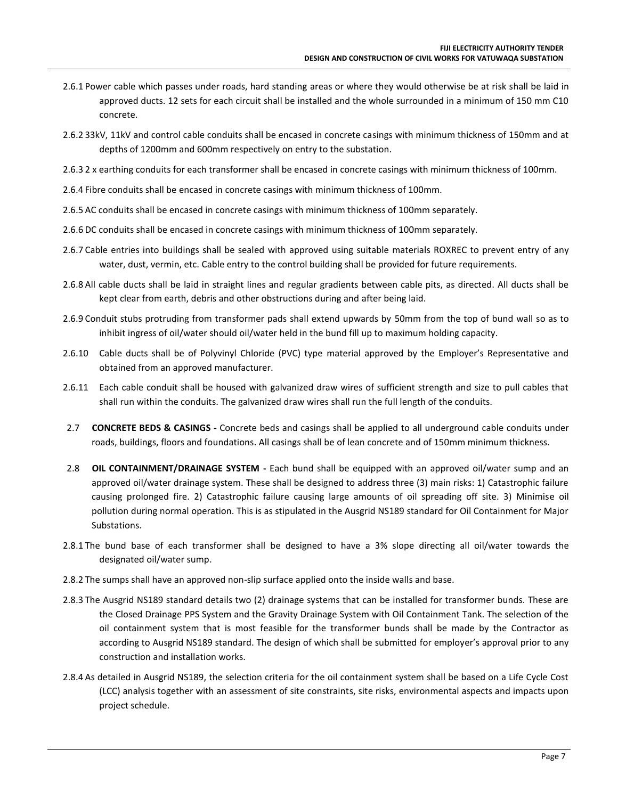- 2.6.1 Power cable which passes under roads, hard standing areas or where they would otherwise be at risk shall be laid in approved ducts. 12 sets for each circuit shall be installed and the whole surrounded in a minimum of 150 mm C10 concrete.
- 2.6.2 33kV, 11kV and control cable conduits shall be encased in concrete casings with minimum thickness of 150mm and at depths of 1200mm and 600mm respectively on entry to the substation.
- 2.6.3 2 x earthing conduits for each transformer shall be encased in concrete casings with minimum thickness of 100mm.
- 2.6.4 Fibre conduits shall be encased in concrete casings with minimum thickness of 100mm.
- 2.6.5 AC conduits shall be encased in concrete casings with minimum thickness of 100mm separately.
- 2.6.6 DC conduits shall be encased in concrete casings with minimum thickness of 100mm separately.
- 2.6.7 Cable entries into buildings shall be sealed with approved using suitable materials ROXREC to prevent entry of any water, dust, vermin, etc. Cable entry to the control building shall be provided for future requirements.
- 2.6.8 All cable ducts shall be laid in straight lines and regular gradients between cable pits, as directed. All ducts shall be kept clear from earth, debris and other obstructions during and after being laid.
- 2.6.9 Conduit stubs protruding from transformer pads shall extend upwards by 50mm from the top of bund wall so as to inhibit ingress of oil/water should oil/water held in the bund fill up to maximum holding capacity.
- 2.6.10 Cable ducts shall be of Polyvinyl Chloride (PVC) type material approved by the Employer's Representative and obtained from an approved manufacturer.
- 2.6.11 Each cable conduit shall be housed with galvanized draw wires of sufficient strength and size to pull cables that shall run within the conduits. The galvanized draw wires shall run the full length of the conduits.
- 2.7 **CONCRETE BEDS & CASINGS -** Concrete beds and casings shall be applied to all underground cable conduits under roads, buildings, floors and foundations. All casings shall be of lean concrete and of 150mm minimum thickness.
- 2.8 **OIL CONTAINMENT/DRAINAGE SYSTEM -** Each bund shall be equipped with an approved oil/water sump and an approved oil/water drainage system. These shall be designed to address three (3) main risks: 1) Catastrophic failure causing prolonged fire. 2) Catastrophic failure causing large amounts of oil spreading off site. 3) Minimise oil pollution during normal operation. This is as stipulated in the Ausgrid NS189 standard for Oil Containment for Major Substations.
- 2.8.1 The bund base of each transformer shall be designed to have a 3% slope directing all oil/water towards the designated oil/water sump.
- 2.8.2 The sumps shall have an approved non-slip surface applied onto the inside walls and base.
- 2.8.3 The Ausgrid NS189 standard details two (2) drainage systems that can be installed for transformer bunds. These are the Closed Drainage PPS System and the Gravity Drainage System with Oil Containment Tank. The selection of the oil containment system that is most feasible for the transformer bunds shall be made by the Contractor as according to Ausgrid NS189 standard. The design of which shall be submitted for employer's approval prior to any construction and installation works.
- 2.8.4 As detailed in Ausgrid NS189, the selection criteria for the oil containment system shall be based on a Life Cycle Cost (LCC) analysis together with an assessment of site constraints, site risks, environmental aspects and impacts upon project schedule.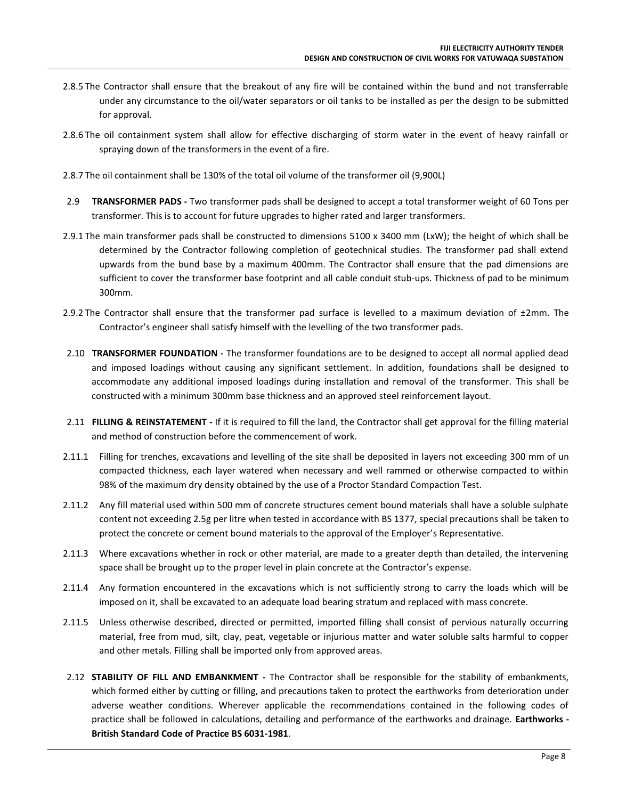- 2.8.5 The Contractor shall ensure that the breakout of any fire will be contained within the bund and not transferrable under any circumstance to the oil/water separators or oil tanks to be installed as per the design to be submitted for approval.
- 2.8.6 The oil containment system shall allow for effective discharging of storm water in the event of heavy rainfall or spraying down of the transformers in the event of a fire.
- 2.8.7 The oil containment shall be 130% of the total oil volume of the transformer oil (9,900L)
- 2.9 **TRANSFORMER PADS -** Two transformer pads shall be designed to accept a total transformer weight of 60 Tons per transformer. This is to account for future upgrades to higher rated and larger transformers.
- 2.9.1 The main transformer pads shall be constructed to dimensions 5100 x 3400 mm (LxW); the height of which shall be determined by the Contractor following completion of geotechnical studies. The transformer pad shall extend upwards from the bund base by a maximum 400mm. The Contractor shall ensure that the pad dimensions are sufficient to cover the transformer base footprint and all cable conduit stub-ups. Thickness of pad to be minimum 300mm.
- 2.9.2 The Contractor shall ensure that the transformer pad surface is levelled to a maximum deviation of  $\pm 2$ mm. The Contractor's engineer shall satisfy himself with the levelling of the two transformer pads.
- 2.10 **TRANSFORMER FOUNDATION -** The transformer foundations are to be designed to accept all normal applied dead and imposed loadings without causing any significant settlement. In addition, foundations shall be designed to accommodate any additional imposed loadings during installation and removal of the transformer. This shall be constructed with a minimum 300mm base thickness and an approved steel reinforcement layout.
- 2.11 **FILLING & REINSTATEMENT -** If it is required to fill the land, the Contractor shall get approval for the filling material and method of construction before the commencement of work.
- 2.11.1 Filling for trenches, excavations and levelling of the site shall be deposited in layers not exceeding 300 mm of un compacted thickness, each layer watered when necessary and well rammed or otherwise compacted to within 98% of the maximum dry density obtained by the use of a Proctor Standard Compaction Test.
- 2.11.2 Any fill material used within 500 mm of concrete structures cement bound materials shall have a soluble sulphate content not exceeding 2.5g per litre when tested in accordance with BS 1377, special precautions shall be taken to protect the concrete or cement bound materials to the approval of the Employer's Representative.
- 2.11.3 Where excavations whether in rock or other material, are made to a greater depth than detailed, the intervening space shall be brought up to the proper level in plain concrete at the Contractor's expense.
- 2.11.4 Any formation encountered in the excavations which is not sufficiently strong to carry the loads which will be imposed on it, shall be excavated to an adequate load bearing stratum and replaced with mass concrete.
- 2.11.5 Unless otherwise described, directed or permitted, imported filling shall consist of pervious naturally occurring material, free from mud, silt, clay, peat, vegetable or injurious matter and water soluble salts harmful to copper and other metals. Filling shall be imported only from approved areas.
- 2.12 **STABILITY OF FILL AND EMBANKMENT -** The Contractor shall be responsible for the stability of embankments, which formed either by cutting or filling, and precautions taken to protect the earthworks from deterioration under adverse weather conditions. Wherever applicable the recommendations contained in the following codes of practice shall be followed in calculations, detailing and performance of the earthworks and drainage. **Earthworks - British Standard Code of Practice BS 6031-1981**.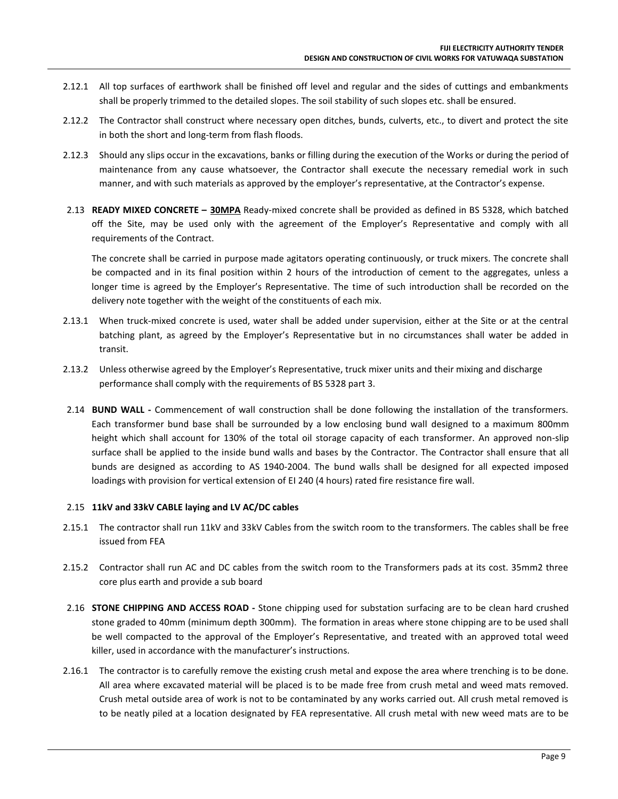- 2.12.1 All top surfaces of earthwork shall be finished off level and regular and the sides of cuttings and embankments shall be properly trimmed to the detailed slopes. The soil stability of such slopes etc. shall be ensured.
- 2.12.2 The Contractor shall construct where necessary open ditches, bunds, culverts, etc., to divert and protect the site in both the short and long-term from flash floods.
- 2.12.3 Should any slips occur in the excavations, banks or filling during the execution of the Works or during the period of maintenance from any cause whatsoever, the Contractor shall execute the necessary remedial work in such manner, and with such materials as approved by the employer's representative, at the Contractor's expense.
- 2.13 **READY MIXED CONCRETE – 30MPA** Ready-mixed concrete shall be provided as defined in BS 5328, which batched off the Site, may be used only with the agreement of the Employer's Representative and comply with all requirements of the Contract.

The concrete shall be carried in purpose made agitators operating continuously, or truck mixers. The concrete shall be compacted and in its final position within 2 hours of the introduction of cement to the aggregates, unless a longer time is agreed by the Employer's Representative. The time of such introduction shall be recorded on the delivery note together with the weight of the constituents of each mix.

- 2.13.1 When truck-mixed concrete is used, water shall be added under supervision, either at the Site or at the central batching plant, as agreed by the Employer's Representative but in no circumstances shall water be added in transit.
- 2.13.2 Unless otherwise agreed by the Employer's Representative, truck mixer units and their mixing and discharge performance shall comply with the requirements of BS 5328 part 3.
- 2.14 **BUND WALL -** Commencement of wall construction shall be done following the installation of the transformers. Each transformer bund base shall be surrounded by a low enclosing bund wall designed to a maximum 800mm height which shall account for 130% of the total oil storage capacity of each transformer. An approved non-slip surface shall be applied to the inside bund walls and bases by the Contractor. The Contractor shall ensure that all bunds are designed as according to AS 1940-2004. The bund walls shall be designed for all expected imposed loadings with provision for vertical extension of EI 240 (4 hours) rated fire resistance fire wall.

#### 2.15 **11kV and 33kV CABLE laying and LV AC/DC cables**

- 2.15.1 The contractor shall run 11kV and 33kV Cables from the switch room to the transformers. The cables shall be free issued from FEA
- 2.15.2 Contractor shall run AC and DC cables from the switch room to the Transformers pads at its cost. 35mm2 three core plus earth and provide a sub board
- 2.16 **STONE CHIPPING AND ACCESS ROAD -** Stone chipping used for substation surfacing are to be clean hard crushed stone graded to 40mm (minimum depth 300mm). The formation in areas where stone chipping are to be used shall be well compacted to the approval of the Employer's Representative, and treated with an approved total weed killer, used in accordance with the manufacturer's instructions.
- 2.16.1 The contractor is to carefully remove the existing crush metal and expose the area where trenching is to be done. All area where excavated material will be placed is to be made free from crush metal and weed mats removed. Crush metal outside area of work is not to be contaminated by any works carried out. All crush metal removed is to be neatly piled at a location designated by FEA representative. All crush metal with new weed mats are to be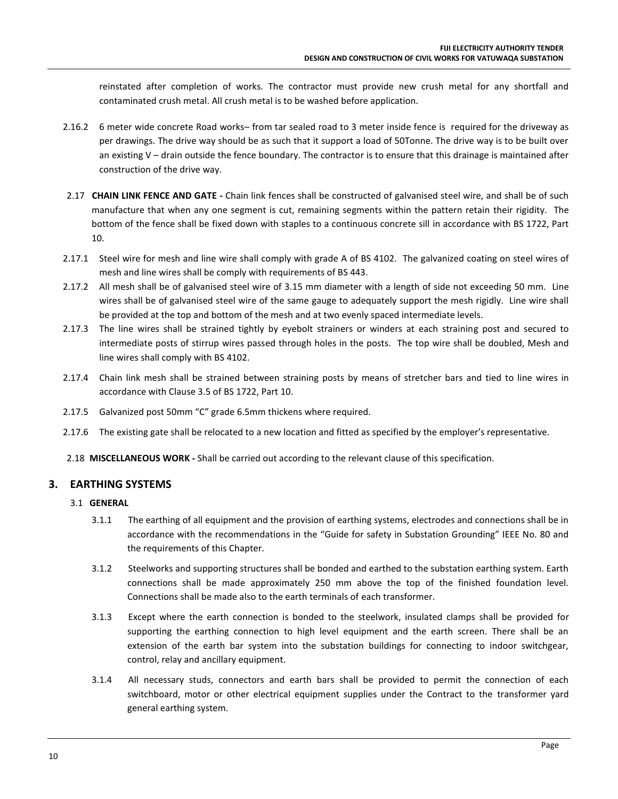reinstated after completion of works. The contractor must provide new crush metal for any shortfall and contaminated crush metal. All crush metal is to be washed before application.

- 2.16.2 6 meter wide concrete Road works– from tar sealed road to 3 meter inside fence is required for the driveway as per drawings. The drive way should be as such that it support a load of 50Tonne. The drive way is to be built over an existing V – drain outside the fence boundary. The contractor is to ensure that this drainage is maintained after construction of the drive way.
- 2.17 **CHAIN LINK FENCE AND GATE -** Chain link fences shall be constructed of galvanised steel wire, and shall be of such manufacture that when any one segment is cut, remaining segments within the pattern retain their rigidity. The bottom of the fence shall be fixed down with staples to a continuous concrete sill in accordance with BS 1722, Part 10.
- 2.17.1 Steel wire for mesh and line wire shall comply with grade A of BS 4102. The galvanized coating on steel wires of mesh and line wires shall be comply with requirements of BS 443.
- 2.17.2 All mesh shall be of galvanised steel wire of 3.15 mm diameter with a length of side not exceeding 50 mm. Line wires shall be of galvanised steel wire of the same gauge to adequately support the mesh rigidly. Line wire shall be provided at the top and bottom of the mesh and at two evenly spaced intermediate levels.
- 2.17.3 The line wires shall be strained tightly by eyebolt strainers or winders at each straining post and secured to intermediate posts of stirrup wires passed through holes in the posts. The top wire shall be doubled, Mesh and line wires shall comply with BS 4102.
- 2.17.4 Chain link mesh shall be strained between straining posts by means of stretcher bars and tied to line wires in accordance with Clause 3.5 of BS 1722, Part 10.
- 2.17.5 Galvanized post 50mm "C" grade 6.5mm thickens where required.
- 2.17.6 The existing gate shall be relocated to a new location and fitted as specified by the employer's representative.
- 2.18 **MISCELLANEOUS WORK -** Shall be carried out according to the relevant clause of this specification.

#### **3. EARTHING SYSTEMS**

#### 3.1 **GENERAL**

- 3.1.1 The earthing of all equipment and the provision of earthing systems, electrodes and connections shall be in accordance with the recommendations in the "Guide for safety in Substation Grounding" IEEE No. 80 and the requirements of this Chapter.
- 3.1.2 Steelworks and supporting structures shall be bonded and earthed to the substation earthing system. Earth connections shall be made approximately 250 mm above the top of the finished foundation level. Connections shall be made also to the earth terminals of each transformer.
- 3.1.3 Except where the earth connection is bonded to the steelwork, insulated clamps shall be provided for supporting the earthing connection to high level equipment and the earth screen. There shall be an extension of the earth bar system into the substation buildings for connecting to indoor switchgear, control, relay and ancillary equipment.
- 3.1.4 All necessary studs, connectors and earth bars shall be provided to permit the connection of each switchboard, motor or other electrical equipment supplies under the Contract to the transformer yard general earthing system.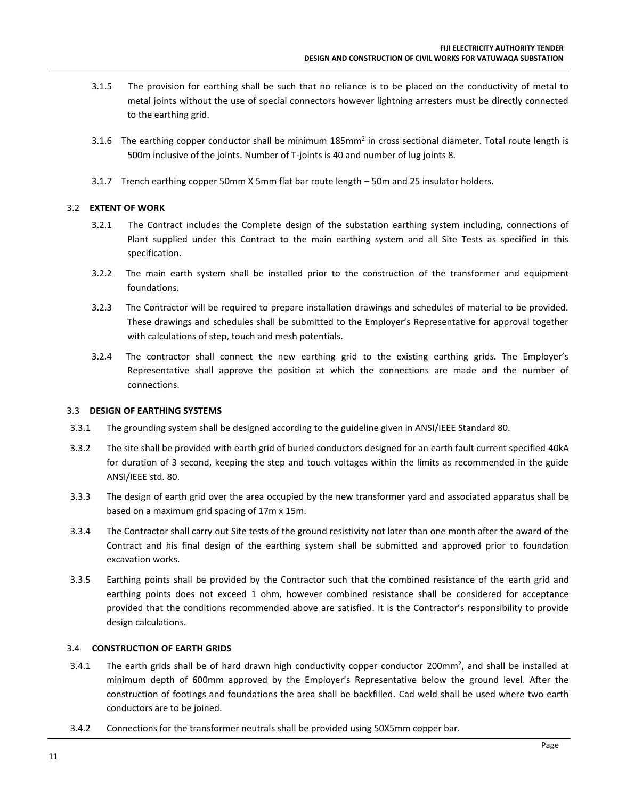- 3.1.5 The provision for earthing shall be such that no reliance is to be placed on the conductivity of metal to metal joints without the use of special connectors however lightning arresters must be directly connected to the earthing grid.
- 3.1.6 The earthing copper conductor shall be minimum 185mm<sup>2</sup> in cross sectional diameter. Total route length is 500m inclusive of the joints. Number of T-joints is 40 and number of lug joints 8.
- 3.1.7 Trench earthing copper 50mm X 5mm flat bar route length 50m and 25 insulator holders.

#### 3.2 **EXTENT OF WORK**

- 3.2.1 The Contract includes the Complete design of the substation earthing system including, connections of Plant supplied under this Contract to the main earthing system and all Site Tests as specified in this specification.
- 3.2.2 The main earth system shall be installed prior to the construction of the transformer and equipment foundations.
- 3.2.3 The Contractor will be required to prepare installation drawings and schedules of material to be provided. These drawings and schedules shall be submitted to the Employer's Representative for approval together with calculations of step, touch and mesh potentials.
- 3.2.4 The contractor shall connect the new earthing grid to the existing earthing grids. The Employer's Representative shall approve the position at which the connections are made and the number of connections.

#### 3.3 **DESIGN OF EARTHING SYSTEMS**

- 3.3.1 The grounding system shall be designed according to the guideline given in ANSI/IEEE Standard 80.
- 3.3.2 The site shall be provided with earth grid of buried conductors designed for an earth fault current specified 40kA for duration of 3 second, keeping the step and touch voltages within the limits as recommended in the guide ANSI/IEEE std. 80.
- 3.3.3 The design of earth grid over the area occupied by the new transformer yard and associated apparatus shall be based on a maximum grid spacing of 17m x 15m.
- 3.3.4 The Contractor shall carry out Site tests of the ground resistivity not later than one month after the award of the Contract and his final design of the earthing system shall be submitted and approved prior to foundation excavation works.
- 3.3.5 Earthing points shall be provided by the Contractor such that the combined resistance of the earth grid and earthing points does not exceed 1 ohm, however combined resistance shall be considered for acceptance provided that the conditions recommended above are satisfied. It is the Contractor's responsibility to provide design calculations.

#### 3.4 **CONSTRUCTION OF EARTH GRIDS**

- 3.4.1 The earth grids shall be of hard drawn high conductivity copper conductor 200mm<sup>2</sup>, and shall be installed at minimum depth of 600mm approved by the Employer's Representative below the ground level. After the construction of footings and foundations the area shall be backfilled. Cad weld shall be used where two earth conductors are to be joined.
- 3.4.2 Connections for the transformer neutrals shall be provided using 50X5mm copper bar.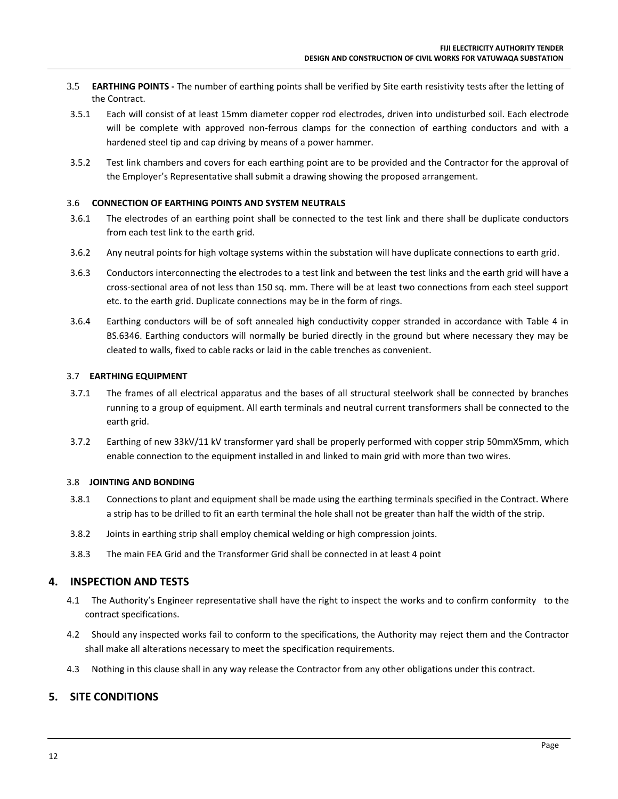- 3.5 **EARTHING POINTS -** The number of earthing points shall be verified by Site earth resistivity tests after the letting of the Contract.
- 3.5.1 Each will consist of at least 15mm diameter copper rod electrodes, driven into undisturbed soil. Each electrode will be complete with approved non-ferrous clamps for the connection of earthing conductors and with a hardened steel tip and cap driving by means of a power hammer.
- 3.5.2 Test link chambers and covers for each earthing point are to be provided and the Contractor for the approval of the Employer's Representative shall submit a drawing showing the proposed arrangement.

#### 3.6 **CONNECTION OF EARTHING POINTS AND SYSTEM NEUTRALS**

- 3.6.1 The electrodes of an earthing point shall be connected to the test link and there shall be duplicate conductors from each test link to the earth grid.
- 3.6.2 Any neutral points for high voltage systems within the substation will have duplicate connections to earth grid.
- 3.6.3 Conductors interconnecting the electrodes to a test link and between the test links and the earth grid will have a cross-sectional area of not less than 150 sq. mm. There will be at least two connections from each steel support etc. to the earth grid. Duplicate connections may be in the form of rings.
- 3.6.4 Earthing conductors will be of soft annealed high conductivity copper stranded in accordance with Table 4 in BS.6346. Earthing conductors will normally be buried directly in the ground but where necessary they may be cleated to walls, fixed to cable racks or laid in the cable trenches as convenient.

#### 3.7 **EARTHING EQUIPMENT**

- 3.7.1 The frames of all electrical apparatus and the bases of all structural steelwork shall be connected by branches running to a group of equipment. All earth terminals and neutral current transformers shall be connected to the earth grid.
- 3.7.2 Earthing of new 33kV/11 kV transformer yard shall be properly performed with copper strip 50mmX5mm, which enable connection to the equipment installed in and linked to main grid with more than two wires.

#### 3.8 **JOINTING AND BONDING**

- 3.8.1 Connections to plant and equipment shall be made using the earthing terminals specified in the Contract. Where a strip has to be drilled to fit an earth terminal the hole shall not be greater than half the width of the strip.
- 3.8.2 Joints in earthing strip shall employ chemical welding or high compression joints.
- 3.8.3 The main FEA Grid and the Transformer Grid shall be connected in at least 4 point

#### **4. INSPECTION AND TESTS**

- 4.1 The Authority's Engineer representative shall have the right to inspect the works and to confirm conformity to the contract specifications.
- 4.2 Should any inspected works fail to conform to the specifications, the Authority may reject them and the Contractor shall make all alterations necessary to meet the specification requirements.
- 4.3 Nothing in this clause shall in any way release the Contractor from any other obligations under this contract.

#### **5. SITE CONDITIONS**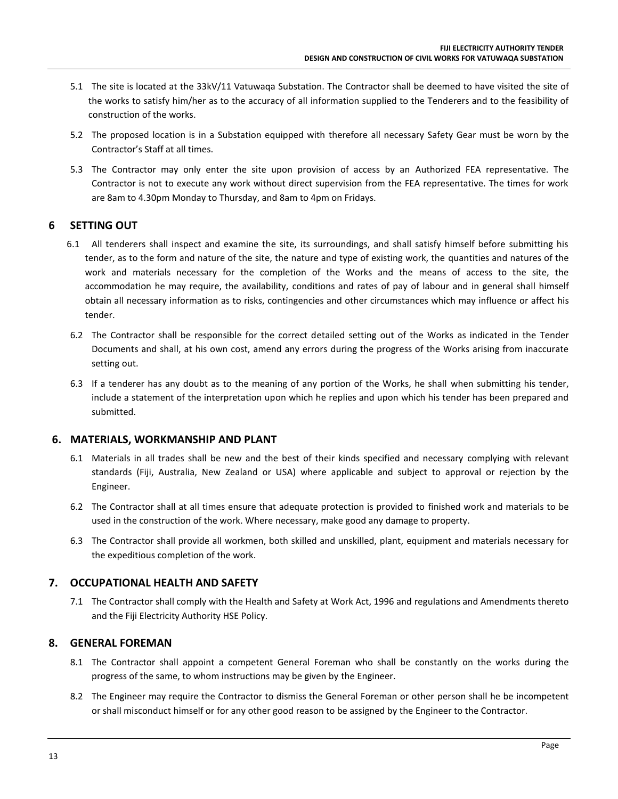- 5.1 The site is located at the 33kV/11 Vatuwaqa Substation. The Contractor shall be deemed to have visited the site of the works to satisfy him/her as to the accuracy of all information supplied to the Tenderers and to the feasibility of construction of the works.
- 5.2 The proposed location is in a Substation equipped with therefore all necessary Safety Gear must be worn by the Contractor's Staff at all times.
- 5.3 The Contractor may only enter the site upon provision of access by an Authorized FEA representative. The Contractor is not to execute any work without direct supervision from the FEA representative. The times for work are 8am to 4.30pm Monday to Thursday, and 8am to 4pm on Fridays.

#### **6 SETTING OUT**

- 6.1 All tenderers shall inspect and examine the site, its surroundings, and shall satisfy himself before submitting his tender, as to the form and nature of the site, the nature and type of existing work, the quantities and natures of the work and materials necessary for the completion of the Works and the means of access to the site, the accommodation he may require, the availability, conditions and rates of pay of labour and in general shall himself obtain all necessary information as to risks, contingencies and other circumstances which may influence or affect his tender.
- 6.2 The Contractor shall be responsible for the correct detailed setting out of the Works as indicated in the Tender Documents and shall, at his own cost, amend any errors during the progress of the Works arising from inaccurate setting out.
- 6.3 If a tenderer has any doubt as to the meaning of any portion of the Works, he shall when submitting his tender, include a statement of the interpretation upon which he replies and upon which his tender has been prepared and submitted.

#### **6. MATERIALS, WORKMANSHIP AND PLANT**

- 6.1 Materials in all trades shall be new and the best of their kinds specified and necessary complying with relevant standards (Fiji, Australia, New Zealand or USA) where applicable and subject to approval or rejection by the Engineer.
- 6.2 The Contractor shall at all times ensure that adequate protection is provided to finished work and materials to be used in the construction of the work. Where necessary, make good any damage to property.
- 6.3 The Contractor shall provide all workmen, both skilled and unskilled, plant, equipment and materials necessary for the expeditious completion of the work.

#### **7. OCCUPATIONAL HEALTH AND SAFETY**

7.1 The Contractor shall comply with the Health and Safety at Work Act, 1996 and regulations and Amendments thereto and the Fiji Electricity Authority HSE Policy.

#### **8. GENERAL FOREMAN**

- 8.1 The Contractor shall appoint a competent General Foreman who shall be constantly on the works during the progress of the same, to whom instructions may be given by the Engineer.
- 8.2 The Engineer may require the Contractor to dismiss the General Foreman or other person shall he be incompetent or shall misconduct himself or for any other good reason to be assigned by the Engineer to the Contractor.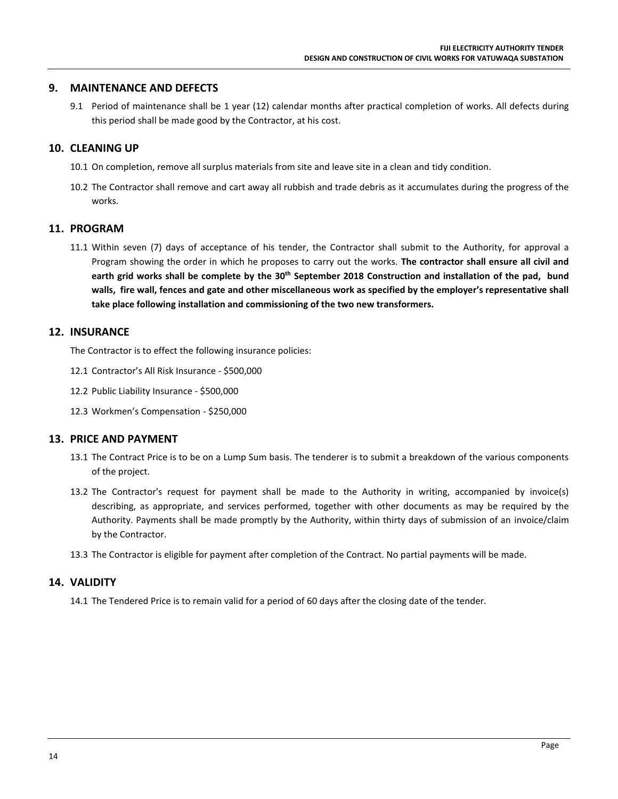#### **9. MAINTENANCE AND DEFECTS**

9.1 Period of maintenance shall be 1 year (12) calendar months after practical completion of works. All defects during this period shall be made good by the Contractor, at his cost.

#### **10. CLEANING UP**

- 10.1 On completion, remove all surplus materials from site and leave site in a clean and tidy condition.
- 10.2 The Contractor shall remove and cart away all rubbish and trade debris as it accumulates during the progress of the works.

#### **11. PROGRAM**

11.1 Within seven (7) days of acceptance of his tender, the Contractor shall submit to the Authority, for approval a Program showing the order in which he proposes to carry out the works. **The contractor shall ensure all civil and earth grid works shall be complete by the 30th September 2018 Construction and installation of the pad, bund walls, fire wall, fences and gate and other miscellaneous work as specified by the employer's representative shall take place following installation and commissioning of the two new transformers.**

#### **12. INSURANCE**

The Contractor is to effect the following insurance policies:

- 12.1 Contractor's All Risk Insurance \$500,000
- 12.2 Public Liability Insurance \$500,000
- 12.3 Workmen's Compensation \$250,000

#### **13. PRICE AND PAYMENT**

- 13.1 The Contract Price is to be on a Lump Sum basis. The tenderer is to submit a breakdown of the various components of the project.
- 13.2 The Contractor's request for payment shall be made to the Authority in writing, accompanied by invoice(s) describing, as appropriate, and services performed, together with other documents as may be required by the Authority. Payments shall be made promptly by the Authority, within thirty days of submission of an invoice/claim by the Contractor.
- 13.3 The Contractor is eligible for payment after completion of the Contract. No partial payments will be made.

#### **14. VALIDITY**

14.1 The Tendered Price is to remain valid for a period of 60 days after the closing date of the tender.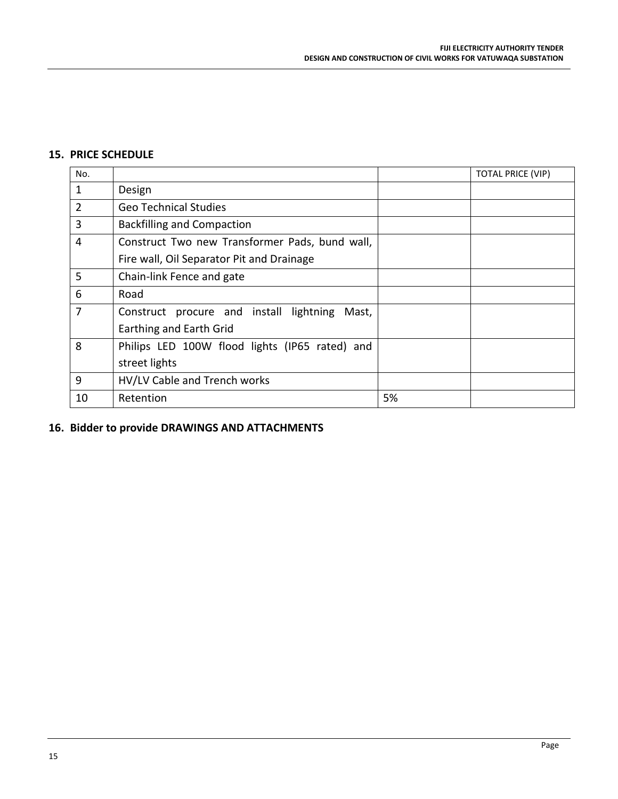#### **15. PRICE SCHEDULE**

| No.            |                                                  |    | <b>TOTAL PRICE (VIP)</b> |
|----------------|--------------------------------------------------|----|--------------------------|
| $\mathbf{1}$   | Design                                           |    |                          |
| $\overline{2}$ | <b>Geo Technical Studies</b>                     |    |                          |
| 3              | <b>Backfilling and Compaction</b>                |    |                          |
| $\overline{4}$ | Construct Two new Transformer Pads, bund wall,   |    |                          |
|                | Fire wall, Oil Separator Pit and Drainage        |    |                          |
| 5              | Chain-link Fence and gate                        |    |                          |
| 6              | Road                                             |    |                          |
| 7              | Construct procure and install lightning<br>Mast, |    |                          |
|                | Earthing and Earth Grid                          |    |                          |
| 8              | Philips LED 100W flood lights (IP65 rated) and   |    |                          |
|                | street lights                                    |    |                          |
| 9              | HV/LV Cable and Trench works                     |    |                          |
| 10             | Retention                                        | 5% |                          |

### **16. Bidder to provide DRAWINGS AND ATTACHMENTS**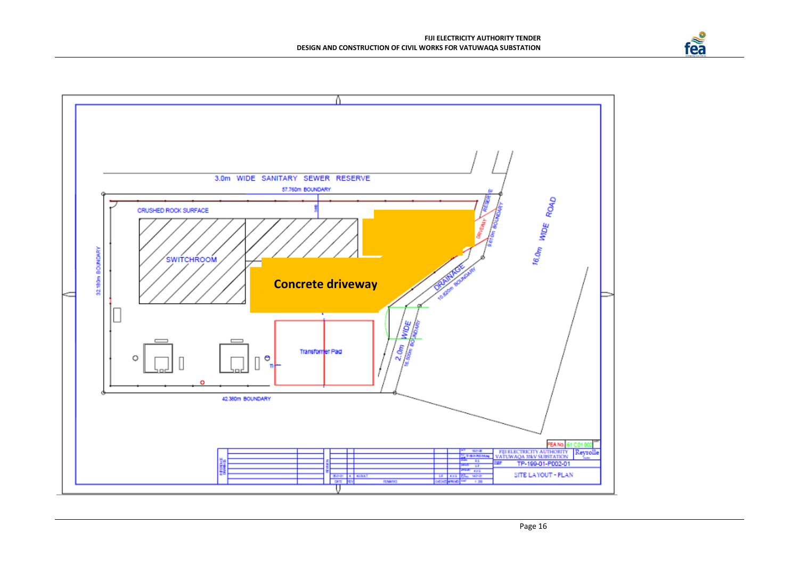

fea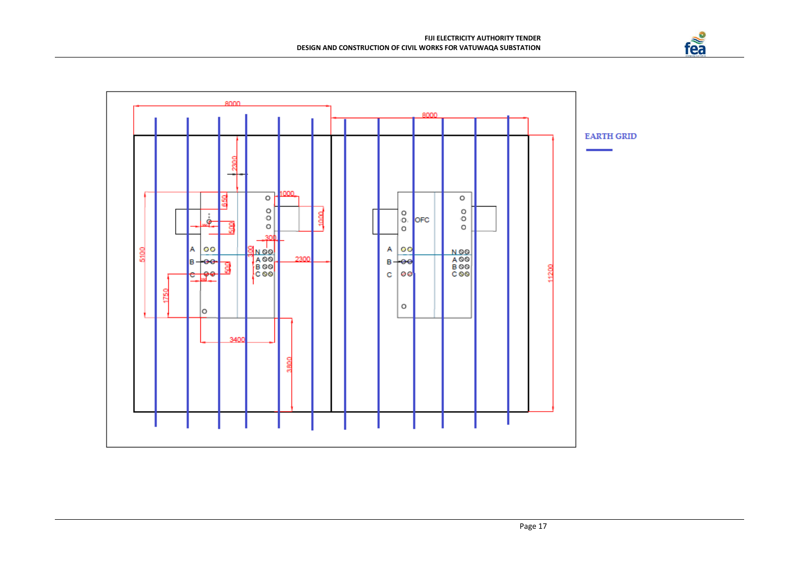

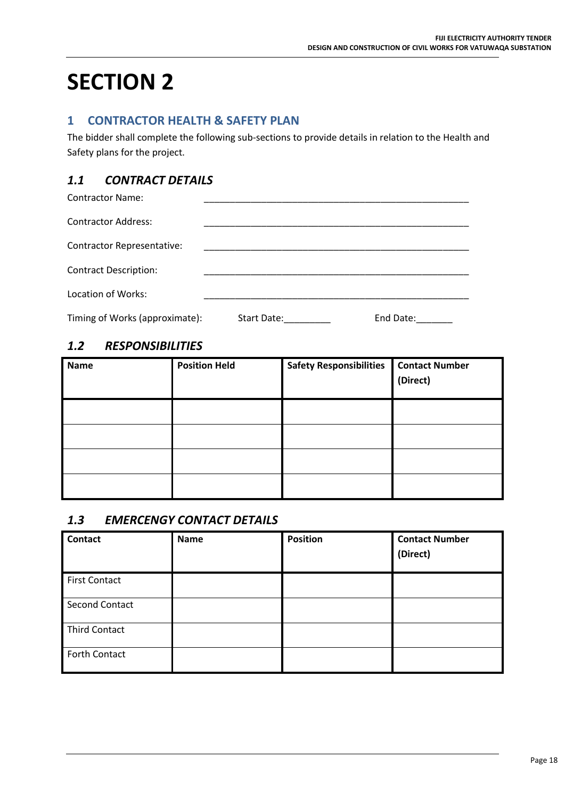# **SECTION 2**

### **1 CONTRACTOR HEALTH & SAFETY PLAN**

The bidder shall complete the following sub-sections to provide details in relation to the Health and Safety plans for the project.

# *1.1 CONTRACT DETAILS*

| <b>Contractor Name:</b>           |             |           |
|-----------------------------------|-------------|-----------|
| <b>Contractor Address:</b>        |             |           |
| <b>Contractor Representative:</b> |             |           |
| <b>Contract Description:</b>      |             |           |
| Location of Works:                |             |           |
| Timing of Works (approximate):    | Start Date: | End Date: |

### *1.2 RESPONSIBILITIES*

| <b>Name</b> | <b>Position Held</b> | <b>Safety Responsibilities</b> | <b>Contact Number</b><br>(Direct) |
|-------------|----------------------|--------------------------------|-----------------------------------|
|             |                      |                                |                                   |
|             |                      |                                |                                   |
|             |                      |                                |                                   |
|             |                      |                                |                                   |

### *1.3 EMERCENGY CONTACT DETAILS*

| <b>Contact</b>       | <b>Name</b> | <b>Position</b> | <b>Contact Number</b><br>(Direct) |
|----------------------|-------------|-----------------|-----------------------------------|
| <b>First Contact</b> |             |                 |                                   |
| Second Contact       |             |                 |                                   |
| <b>Third Contact</b> |             |                 |                                   |
| Forth Contact        |             |                 |                                   |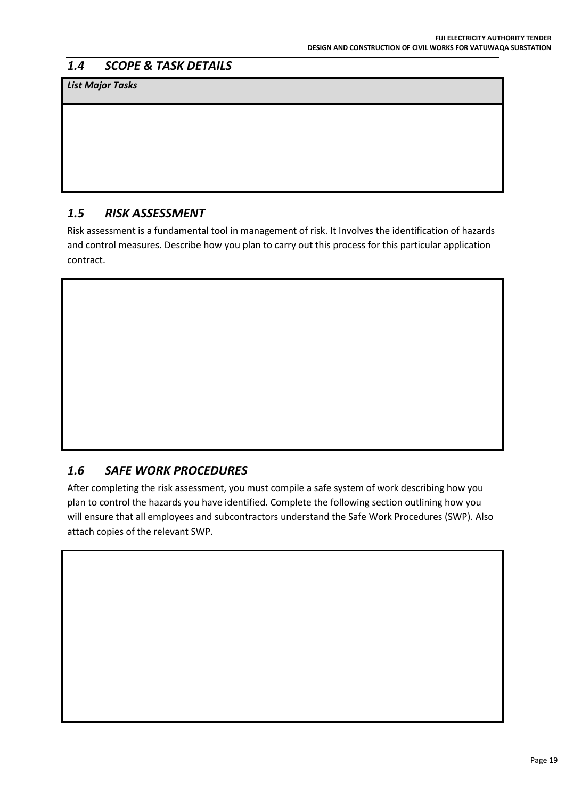# *1.4 SCOPE & TASK DETAILS*

*List Major Tasks*

# *1.5 RISK ASSESSMENT*

Risk assessment is a fundamental tool in management of risk. It Involves the identification of hazards and control measures. Describe how you plan to carry out this process for this particular application contract.

# *1.6 SAFE WORK PROCEDURES*

After completing the risk assessment, you must compile a safe system of work describing how you plan to control the hazards you have identified. Complete the following section outlining how you will ensure that all employees and subcontractors understand the Safe Work Procedures (SWP). Also attach copies of the relevant SWP.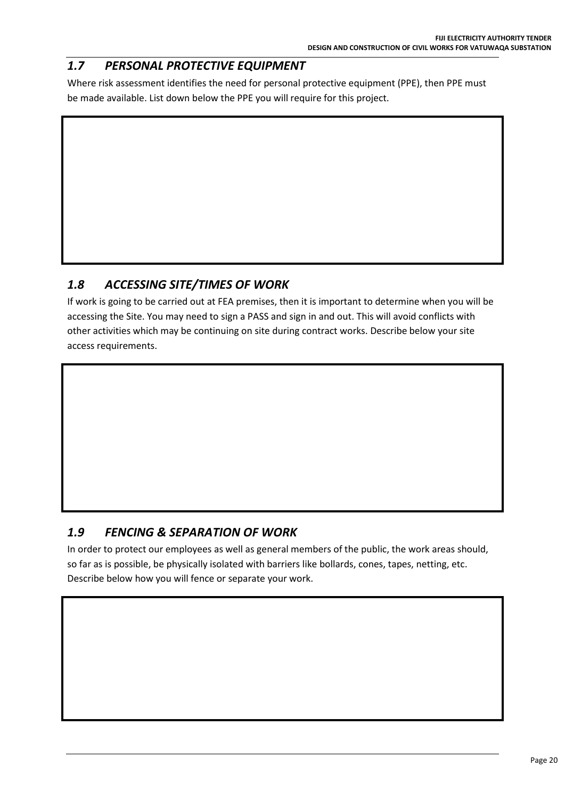# *1.7 PERSONAL PROTECTIVE EQUIPMENT*

Where risk assessment identifies the need for personal protective equipment (PPE), then PPE must be made available. List down below the PPE you will require for this project.

# *1.8 ACCESSING SITE/TIMES OF WORK*

If work is going to be carried out at FEA premises, then it is important to determine when you will be accessing the Site. You may need to sign a PASS and sign in and out. This will avoid conflicts with other activities which may be continuing on site during contract works. Describe below your site access requirements.

# *1.9 FENCING & SEPARATION OF WORK*

In order to protect our employees as well as general members of the public, the work areas should, so far as is possible, be physically isolated with barriers like bollards, cones, tapes, netting, etc. Describe below how you will fence or separate your work.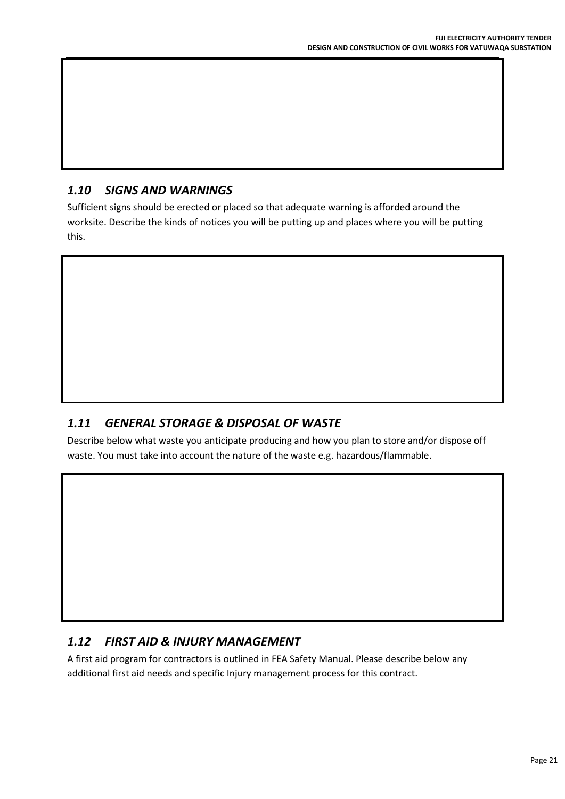# *1.10 SIGNS AND WARNINGS*

Sufficient signs should be erected or placed so that adequate warning is afforded around the worksite. Describe the kinds of notices you will be putting up and places where you will be putting this.

# *1.11 GENERAL STORAGE & DISPOSAL OF WASTE*

Describe below what waste you anticipate producing and how you plan to store and/or dispose off waste. You must take into account the nature of the waste e.g. hazardous/flammable.

# *1.12 FIRST AID & INJURY MANAGEMENT*

A first aid program for contractors is outlined in FEA Safety Manual. Please describe below any additional first aid needs and specific Injury management process for this contract.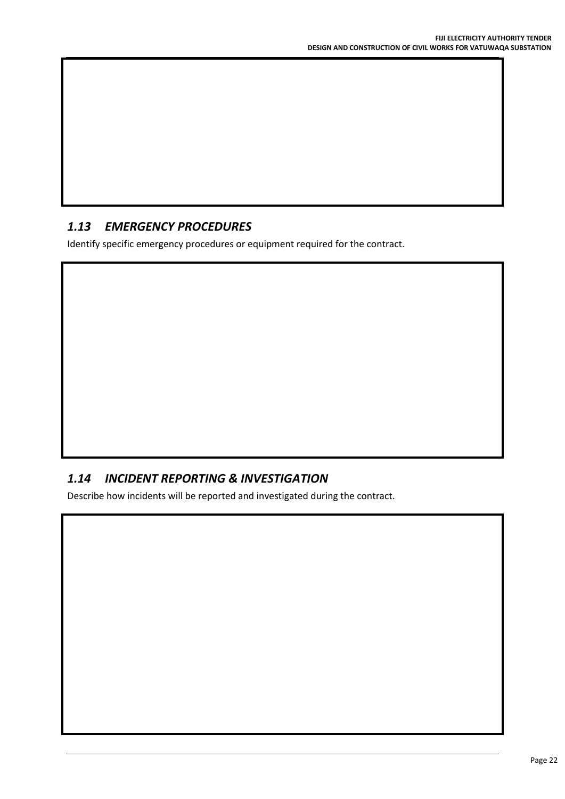# *1.13 EMERGENCY PROCEDURES*

Identify specific emergency procedures or equipment required for the contract.

# *1.14 INCIDENT REPORTING & INVESTIGATION*

Describe how incidents will be reported and investigated during the contract.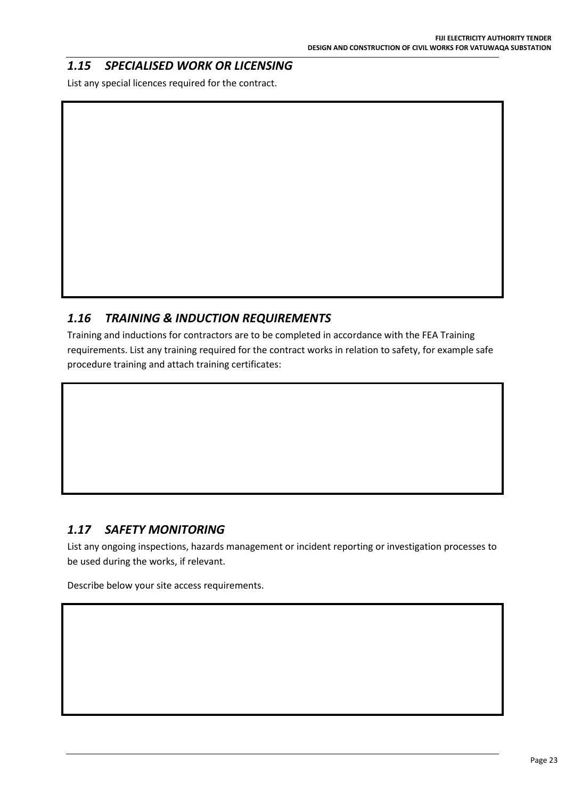# *1.15 SPECIALISED WORK OR LICENSING*

List any special licences required for the contract.

# *1.16 TRAINING & INDUCTION REQUIREMENTS*

Training and inductions for contractors are to be completed in accordance with the FEA Training requirements. List any training required for the contract works in relation to safety, for example safe procedure training and attach training certificates:

### *1.17 SAFETY MONITORING*

List any ongoing inspections, hazards management or incident reporting or investigation processes to be used during the works, if relevant.

Describe below your site access requirements.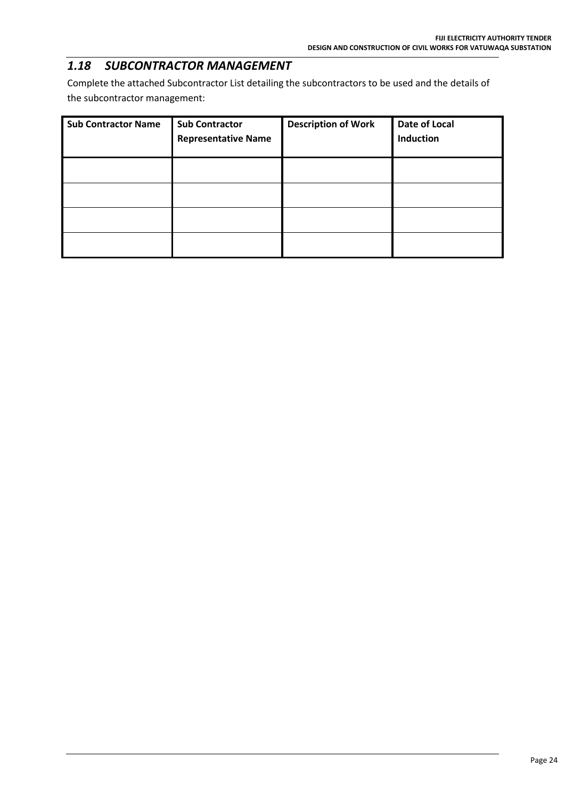### *1.18 SUBCONTRACTOR MANAGEMENT*

Complete the attached Subcontractor List detailing the subcontractors to be used and the details of the subcontractor management:

| <b>Sub Contractor Name</b> | <b>Sub Contractor</b><br><b>Representative Name</b> | <b>Description of Work</b> | Date of Local<br>Induction |
|----------------------------|-----------------------------------------------------|----------------------------|----------------------------|
|                            |                                                     |                            |                            |
|                            |                                                     |                            |                            |
|                            |                                                     |                            |                            |
|                            |                                                     |                            |                            |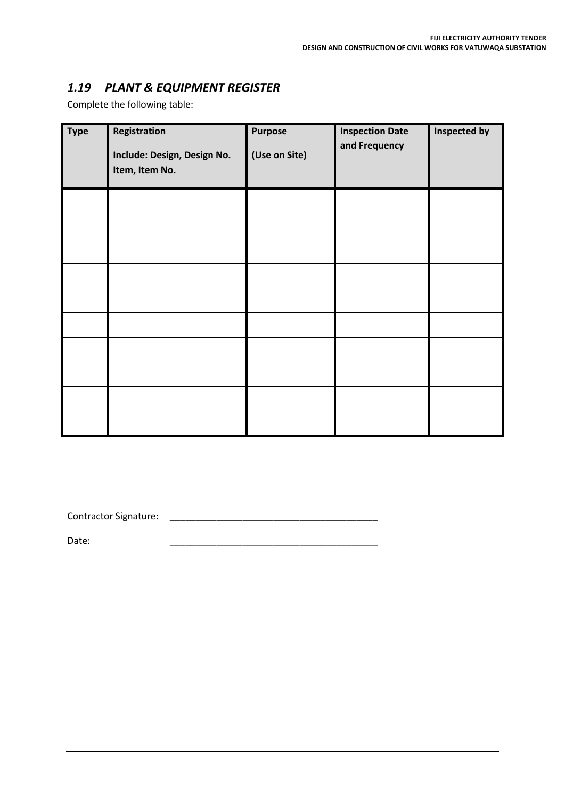### *1.19 PLANT & EQUIPMENT REGISTER*

Complete the following table:

| <b>Type</b> | Registration<br>Include: Design, Design No.<br>Item, Item No. | <b>Purpose</b><br>(Use on Site) | <b>Inspection Date</b><br>and Frequency | Inspected by |
|-------------|---------------------------------------------------------------|---------------------------------|-----------------------------------------|--------------|
|             |                                                               |                                 |                                         |              |
|             |                                                               |                                 |                                         |              |
|             |                                                               |                                 |                                         |              |
|             |                                                               |                                 |                                         |              |
|             |                                                               |                                 |                                         |              |
|             |                                                               |                                 |                                         |              |
|             |                                                               |                                 |                                         |              |
|             |                                                               |                                 |                                         |              |
|             |                                                               |                                 |                                         |              |
|             |                                                               |                                 |                                         |              |

Contractor Signature: \_\_\_\_\_\_\_\_\_\_\_\_\_\_\_\_\_\_\_\_\_\_\_\_\_\_\_\_\_\_\_\_\_\_\_\_\_\_\_\_

Date: \_\_\_\_\_\_\_\_\_\_\_\_\_\_\_\_\_\_\_\_\_\_\_\_\_\_\_\_\_\_\_\_\_\_\_\_\_\_\_\_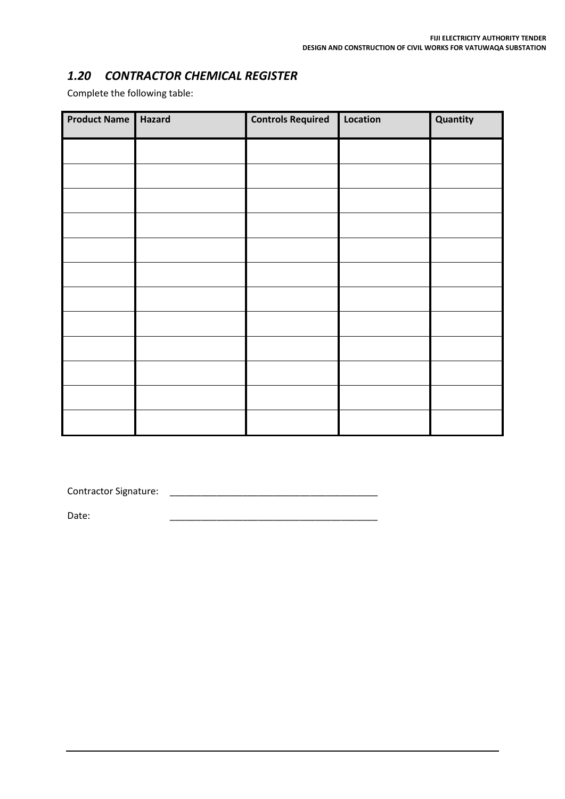# *1.20 CONTRACTOR CHEMICAL REGISTER*

Complete the following table:

| <b>Product Name</b> | Hazard | <b>Controls Required</b> | Location | Quantity |
|---------------------|--------|--------------------------|----------|----------|
|                     |        |                          |          |          |
|                     |        |                          |          |          |
|                     |        |                          |          |          |
|                     |        |                          |          |          |
|                     |        |                          |          |          |
|                     |        |                          |          |          |
|                     |        |                          |          |          |
|                     |        |                          |          |          |
|                     |        |                          |          |          |
|                     |        |                          |          |          |
|                     |        |                          |          |          |
|                     |        |                          |          |          |

Contractor Signature: \_\_\_\_\_\_\_\_\_\_\_\_\_\_\_\_\_\_\_\_\_\_\_\_\_\_\_\_\_\_\_\_\_\_\_\_\_\_\_\_

Date: \_\_\_\_\_\_\_\_\_\_\_\_\_\_\_\_\_\_\_\_\_\_\_\_\_\_\_\_\_\_\_\_\_\_\_\_\_\_\_\_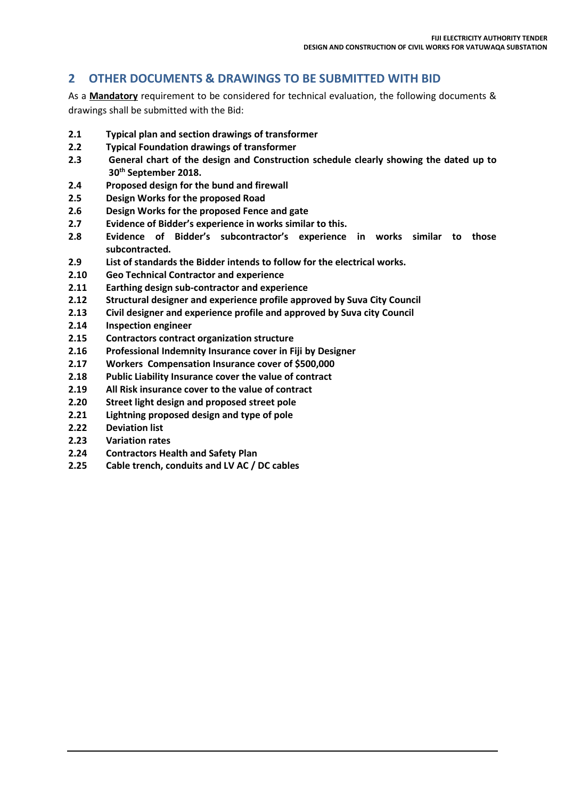### **2 OTHER DOCUMENTS & DRAWINGS TO BE SUBMITTED WITH BID**

As a **Mandatory** requirement to be considered for technical evaluation, the following documents & drawings shall be submitted with the Bid:

- **2.1 Typical plan and section drawings of transformer**
- **2.2 Typical Foundation drawings of transformer**
- **2.3 General chart of the design and Construction schedule clearly showing the dated up to 30th September 2018.**
- **2.4 Proposed design for the bund and firewall**
- **2.5 Design Works for the proposed Road**
- **2.6 Design Works for the proposed Fence and gate**
- **2.7 Evidence of Bidder's experience in works similar to this.**
- **2.8 Evidence of Bidder's subcontractor's experience in works similar to those subcontracted.**
- **2.9 List of standards the Bidder intends to follow for the electrical works.**
- **2.10 Geo Technical Contractor and experience**
- **2.11 Earthing design sub-contractor and experience**
- **2.12 Structural designer and experience profile approved by Suva City Council**
- **2.13 Civil designer and experience profile and approved by Suva city Council**
- **2.14 Inspection engineer**
- **2.15 Contractors contract organization structure**
- **2.16 Professional Indemnity Insurance cover in Fiji by Designer**
- **2.17 Workers Compensation Insurance cover of \$500,000**
- **2.18 Public Liability Insurance cover the value of contract**
- **2.19 All Risk insurance cover to the value of contract**
- **2.20 Street light design and proposed street pole**
- **2.21 Lightning proposed design and type of pole**
- **2.22 Deviation list**
- **2.23 Variation rates**
- **2.24 Contractors Health and Safety Plan**
- **2.25 Cable trench, conduits and LV AC / DC cables**